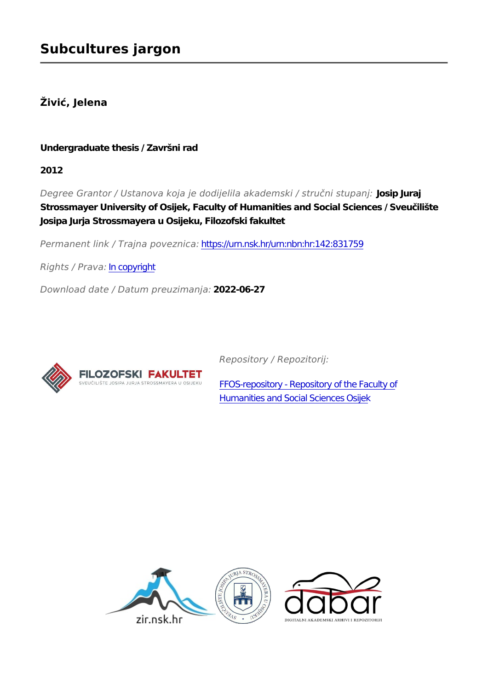## **Živić, Jelena**

### **Undergraduate thesis / Završni rad**

**2012**

*Degree Grantor / Ustanova koja je dodijelila akademski / stručni stupanj:* **Josip Juraj Strossmayer University of Osijek, Faculty of Humanities and Social Sciences / Sveučilište Josipa Jurja Strossmayera u Osijeku, Filozofski fakultet**

*Permanent link / Trajna poveznica:* <https://urn.nsk.hr/urn:nbn:hr:142:831759>

*Rights / Prava:* [In copyright](http://rightsstatements.org/vocab/InC/1.0/)

*Download date / Datum preuzimanja:* **2022-06-27**



*Repository / Repozitorij:*

[FFOS-repository - Repository of the Faculty of](https://repozitorij.ffos.hr) [Humanities and Social Sciences Osijek](https://repozitorij.ffos.hr)

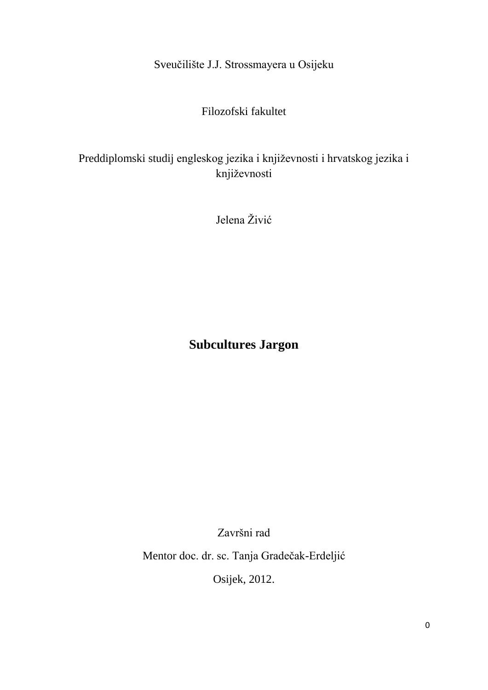Sveučilište J.J. Strossmayera u Osijeku

Filozofski fakultet

# Preddiplomski studij engleskog jezika i književnosti i hrvatskog jezika i književnosti

Jelena Živić

# **Subcultures Jargon**

Završni rad

Mentor doc. dr. sc. Tanja Gradečak-Erdeljić

Osijek, 2012.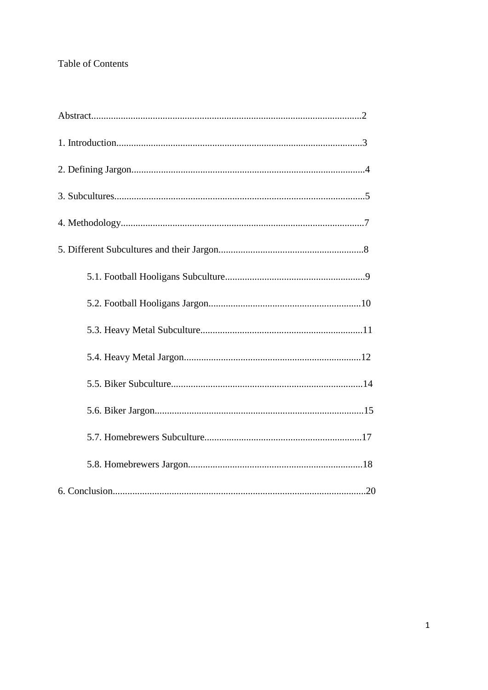## Table of Contents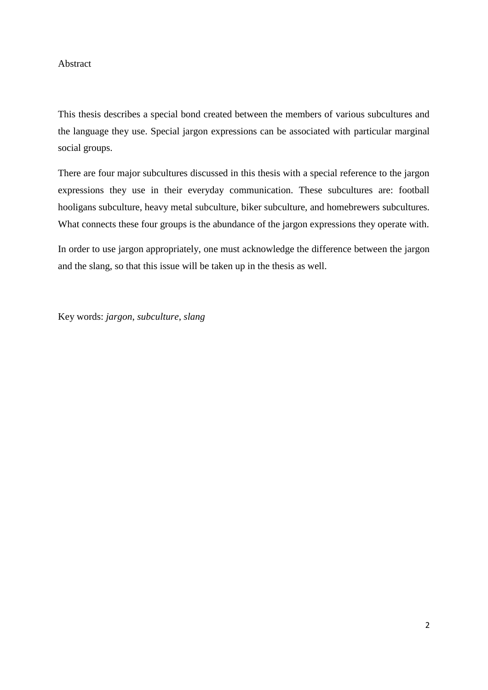#### Abstract

This thesis describes a special bond created between the members of various subcultures and the language they use. Special jargon expressions can be associated with particular marginal social groups.

There are four major subcultures discussed in this thesis with a special reference to the jargon expressions they use in their everyday communication. These subcultures are: football hooligans subculture, heavy metal subculture, biker subculture, and homebrewers subcultures. What connects these four groups is the abundance of the jargon expressions they operate with.

In order to use jargon appropriately, one must acknowledge the difference between the jargon and the slang, so that this issue will be taken up in the thesis as well.

Key words: *jargon*, *subculture*, *slang*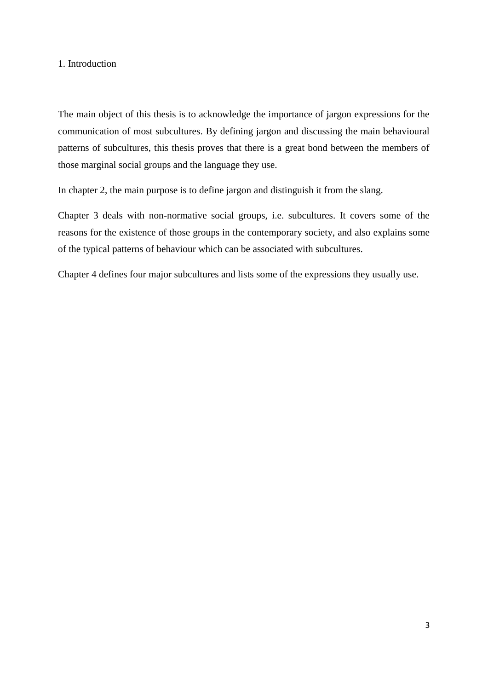#### 1. Introduction

The main object of this thesis is to acknowledge the importance of jargon expressions for the communication of most subcultures. By defining jargon and discussing the main behavioural patterns of subcultures, this thesis proves that there is a great bond between the members of those marginal social groups and the language they use.

In chapter 2, the main purpose is to define jargon and distinguish it from the slang.

Chapter 3 deals with non-normative social groups, i.e. subcultures. It covers some of the reasons for the existence of those groups in the contemporary society, and also explains some of the typical patterns of behaviour which can be associated with subcultures.

Chapter 4 defines four major subcultures and lists some of the expressions they usually use.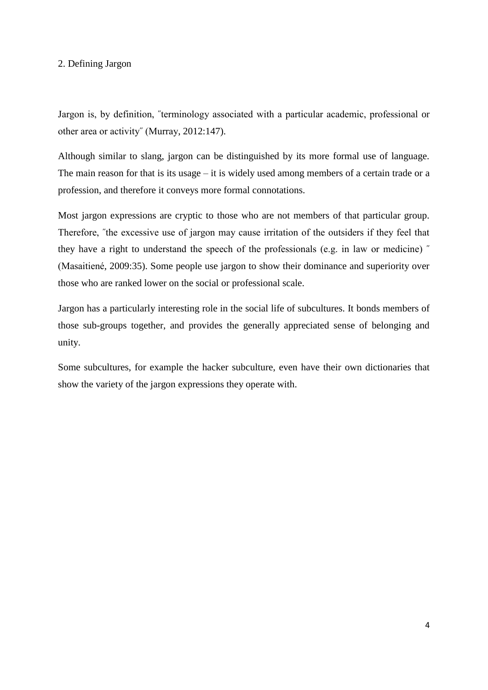#### 2. Defining Jargon

Jargon is, by definition, ˝terminology associated with a particular academic, professional or other area or activity˝ (Murray, 2012:147).

Although similar to slang, jargon can be distinguished by its more formal use of language. The main reason for that is its usage – it is widely used among members of a certain trade or a profession, and therefore it conveys more formal connotations.

Most jargon expressions are cryptic to those who are not members of that particular group. Therefore, "the excessive use of jargon may cause irritation of the outsiders if they feel that they have a right to understand the speech of the professionals (e.g. in law or medicine) ˝ (Masaitiené, 2009:35). Some people use jargon to show their dominance and superiority over those who are ranked lower on the social or professional scale.

Jargon has a particularly interesting role in the social life of subcultures. It bonds members of those sub-groups together, and provides the generally appreciated sense of belonging and unity.

Some subcultures, for example the hacker subculture, even have their own dictionaries that show the variety of the jargon expressions they operate with.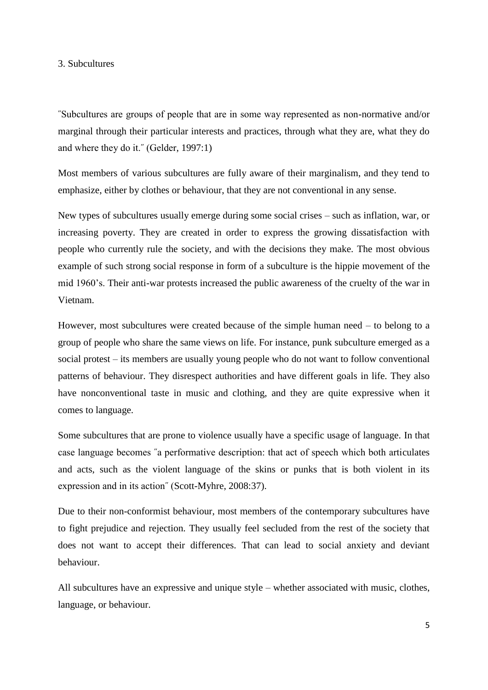#### 3. Subcultures

˝Subcultures are groups of people that are in some way represented as non-normative and/or marginal through their particular interests and practices, through what they are, what they do and where they do it.˝ (Gelder, 1997:1)

Most members of various subcultures are fully aware of their marginalism, and they tend to emphasize, either by clothes or behaviour, that they are not conventional in any sense.

New types of subcultures usually emerge during some social crises – such as inflation, war, or increasing poverty. They are created in order to express the growing dissatisfaction with people who currently rule the society, and with the decisions they make. The most obvious example of such strong social response in form of a subculture is the hippie movement of the mid 1960's. Their anti-war protests increased the public awareness of the cruelty of the war in Vietnam.

However, most subcultures were created because of the simple human need – to belong to a group of people who share the same views on life. For instance, punk subculture emerged as a social protest – its members are usually young people who do not want to follow conventional patterns of behaviour. They disrespect authorities and have different goals in life. They also have nonconventional taste in music and clothing, and they are quite expressive when it comes to language.

Some subcultures that are prone to violence usually have a specific usage of language. In that case language becomes ˝a performative description: that act of speech which both articulates and acts, such as the violent language of the skins or punks that is both violent in its expression and in its action˝ (Scott-Myhre, 2008:37).

Due to their non-conformist behaviour, most members of the contemporary subcultures have to fight prejudice and rejection. They usually feel secluded from the rest of the society that does not want to accept their differences. That can lead to social anxiety and deviant behaviour.

All subcultures have an expressive and unique style – whether associated with music, clothes, language, or behaviour.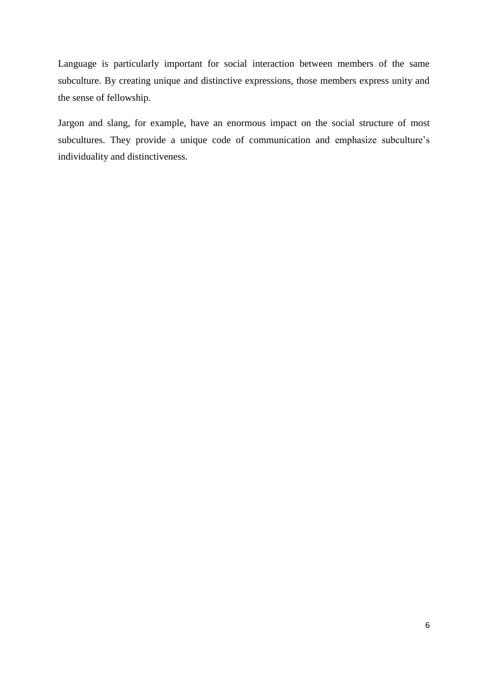Language is particularly important for social interaction between members of the same subculture. By creating unique and distinctive expressions, those members express unity and the sense of fellowship.

Jargon and slang, for example, have an enormous impact on the social structure of most subcultures. They provide a unique code of communication and emphasize subculture's individuality and distinctiveness.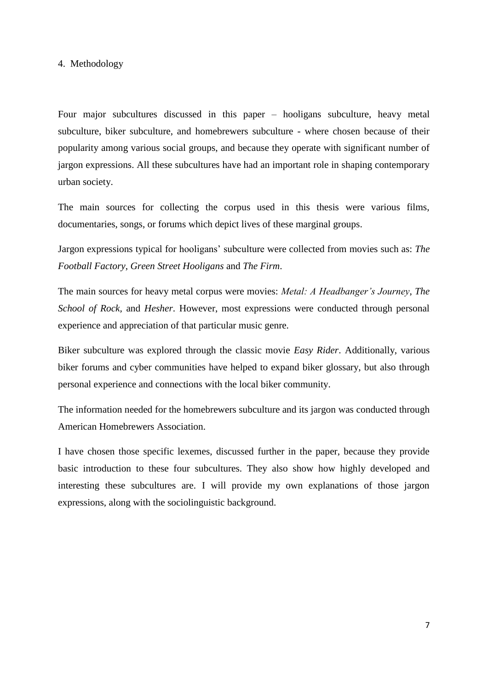#### 4. Methodology

Four major subcultures discussed in this paper – hooligans subculture, heavy metal subculture, biker subculture, and homebrewers subculture - where chosen because of their popularity among various social groups, and because they operate with significant number of jargon expressions. All these subcultures have had an important role in shaping contemporary urban society.

The main sources for collecting the corpus used in this thesis were various films, documentaries, songs, or forums which depict lives of these marginal groups.

Jargon expressions typical for hooligans' subculture were collected from movies such as: *The Football Factory*, *Green Street Hooligans* and *The Firm*.

The main sources for heavy metal corpus were movies: *Metal: A Headbanger's Journey*, *The School of Rock,* and *Hesher*. However, most expressions were conducted through personal experience and appreciation of that particular music genre.

Biker subculture was explored through the classic movie *Easy Rider*. Additionally, various biker forums and cyber communities have helped to expand biker glossary, but also through personal experience and connections with the local biker community.

The information needed for the homebrewers subculture and its jargon was conducted through American Homebrewers Association.

I have chosen those specific lexemes, discussed further in the paper, because they provide basic introduction to these four subcultures. They also show how highly developed and interesting these subcultures are. I will provide my own explanations of those jargon expressions, along with the sociolinguistic background.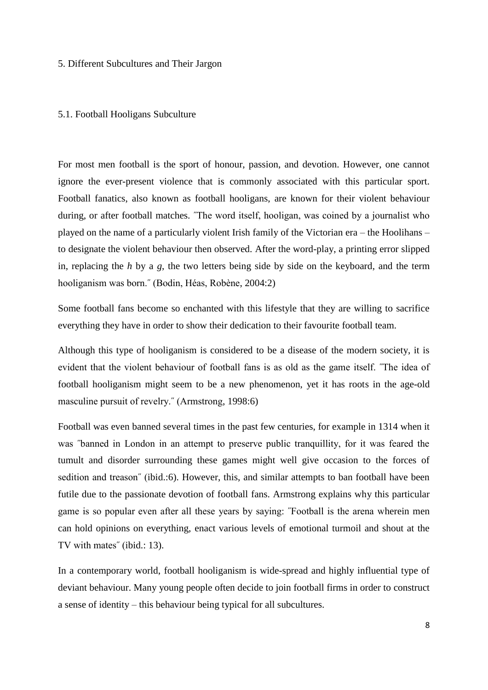#### 5. Different Subcultures and Their Jargon

#### 5.1. Football Hooligans Subculture

For most men football is the sport of honour, passion, and devotion. However, one cannot ignore the ever-present violence that is commonly associated with this particular sport. Football fanatics, also known as football hooligans, are known for their violent behaviour during, or after football matches. "The word itself, hooligan, was coined by a journalist who played on the name of a particularly violent Irish family of the Victorian era – the Hoolihans – to designate the violent behaviour then observed. After the word-play, a printing error slipped in, replacing the *h* by a *g*, the two letters being side by side on the keyboard, and the term hooliganism was born.˝ (Bodin, Héas, Robène, 2004:2)

Some football fans become so enchanted with this lifestyle that they are willing to sacrifice everything they have in order to show their dedication to their favourite football team.

Although this type of hooliganism is considered to be a disease of the modern society, it is evident that the violent behaviour of football fans is as old as the game itself. ˝The idea of football hooliganism might seem to be a new phenomenon, yet it has roots in the age-old masculine pursuit of revelry.˝ (Armstrong, 1998:6)

Football was even banned several times in the past few centuries, for example in 1314 when it was "banned in London in an attempt to preserve public tranquillity, for it was feared the tumult and disorder surrounding these games might well give occasion to the forces of sedition and treason" (ibid.:6). However, this, and similar attempts to ban football have been futile due to the passionate devotion of football fans. Armstrong explains why this particular game is so popular even after all these years by saying: ˝Football is the arena wherein men can hold opinions on everything, enact various levels of emotional turmoil and shout at the TV with mates˝ (ibid.: 13).

In a contemporary world, football hooliganism is wide-spread and highly influential type of deviant behaviour. Many young people often decide to join football firms in order to construct a sense of identity – this behaviour being typical for all subcultures.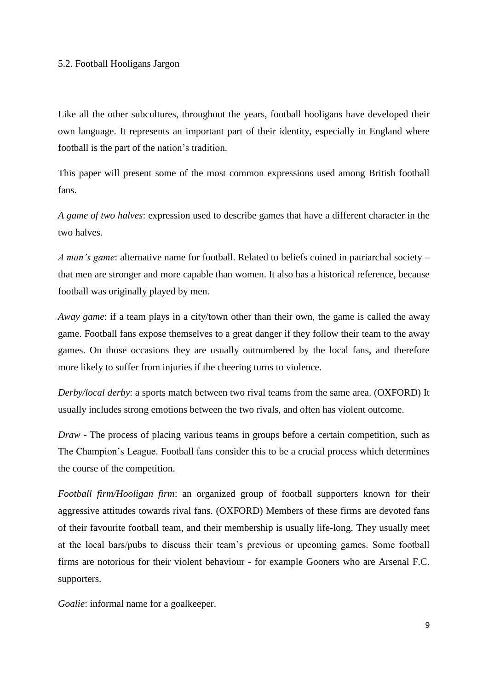#### 5.2. Football Hooligans Jargon

Like all the other subcultures, throughout the years, football hooligans have developed their own language. It represents an important part of their identity, especially in England where football is the part of the nation's tradition.

This paper will present some of the most common expressions used among British football fans.

*A game of two halves*: expression used to describe games that have a different character in the two halves.

*A man's game*: alternative name for football. Related to beliefs coined in patriarchal society – that men are stronger and more capable than women. It also has a historical reference, because football was originally played by men.

*Away game*: if a team plays in a city/town other than their own, the game is called the away game. Football fans expose themselves to a great danger if they follow their team to the away games. On those occasions they are usually outnumbered by the local fans, and therefore more likely to suffer from injuries if the cheering turns to violence.

*Derby/local derby*: a sports match between two rival teams from the same area. (OXFORD) It usually includes strong emotions between the two rivals, and often has violent outcome.

*Draw* - The process of placing various teams in groups before a certain competition, such as The Champion's League. Football fans consider this to be a crucial process which determines the course of the competition.

*Football firm/Hooligan firm*: an organized group of football supporters known for their aggressive attitudes towards rival fans. (OXFORD) Members of these firms are devoted fans of their favourite football team, and their membership is usually life-long. They usually meet at the local bars/pubs to discuss their team's previous or upcoming games. Some football firms are notorious for their violent behaviour - for example Gooners who are Arsenal F.C. supporters.

*Goalie*: informal name for a goalkeeper.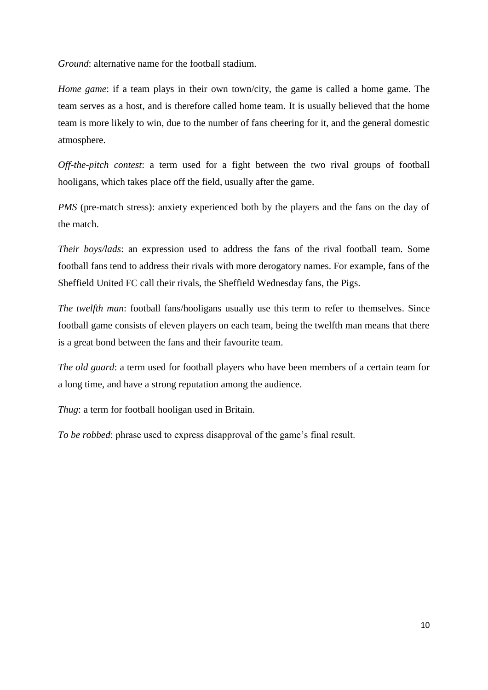*Ground*: alternative name for the football stadium.

*Home game*: if a team plays in their own town/city, the game is called a home game. The team serves as a host, and is therefore called home team. It is usually believed that the home team is more likely to win, due to the number of fans cheering for it, and the general domestic atmosphere.

*Off-the-pitch contest*: a term used for a fight between the two rival groups of football hooligans, which takes place off the field, usually after the game.

*PMS* (pre-match stress): anxiety experienced both by the players and the fans on the day of the match.

*Their boys/lads*: an expression used to address the fans of the rival football team. Some football fans tend to address their rivals with more derogatory names. For example, fans of the Sheffield United FC call their rivals, the Sheffield Wednesday fans, the Pigs.

*The twelfth man*: football fans/hooligans usually use this term to refer to themselves. Since football game consists of eleven players on each team, being the twelfth man means that there is a great bond between the fans and their favourite team.

*The old guard*: a term used for football players who have been members of a certain team for a long time, and have a strong reputation among the audience.

*Thug*: a term for football hooligan used in Britain.

*To be robbed*: phrase used to express disapproval of the game's final result.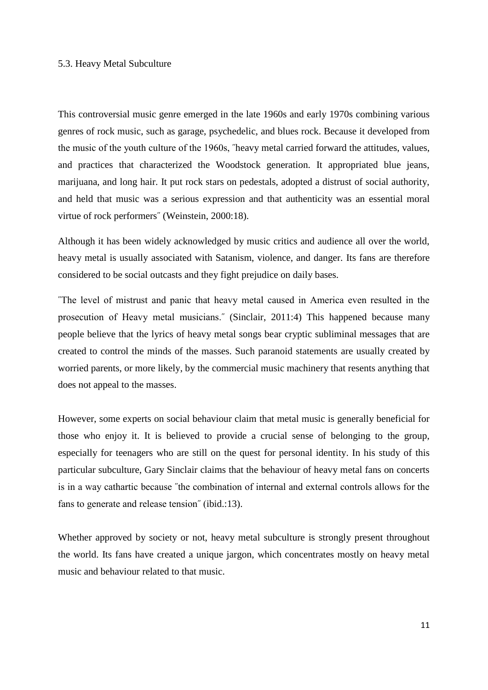#### 5.3. Heavy Metal Subculture

This controversial music genre emerged in the late 1960s and early 1970s combining various genres of rock music, such as garage, psychedelic, and blues rock. Because it developed from the music of the youth culture of the 1960s, ˝heavy metal carried forward the attitudes, values, and practices that characterized the Woodstock generation. It appropriated blue jeans, marijuana, and long hair. It put rock stars on pedestals, adopted a distrust of social authority, and held that music was a serious expression and that authenticity was an essential moral virtue of rock performers<sup>"</sup> (Weinstein, 2000:18).

Although it has been widely acknowledged by music critics and audience all over the world, heavy metal is usually associated with Satanism, violence, and danger. Its fans are therefore considered to be social outcasts and they fight prejudice on daily bases.

˝The level of mistrust and panic that heavy metal caused in America even resulted in the prosecution of Heavy metal musicians.<sup>"</sup> (Sinclair, 2011:4) This happened because many people believe that the lyrics of heavy metal songs bear cryptic subliminal messages that are created to control the minds of the masses. Such paranoid statements are usually created by worried parents, or more likely, by the commercial music machinery that resents anything that does not appeal to the masses.

However, some experts on social behaviour claim that metal music is generally beneficial for those who enjoy it. It is believed to provide a crucial sense of belonging to the group, especially for teenagers who are still on the quest for personal identity. In his study of this particular subculture, Gary Sinclair claims that the behaviour of heavy metal fans on concerts is in a way cathartic because ˝the combination of internal and external controls allows for the fans to generate and release tension<sup>"</sup> (ibid.:13).

Whether approved by society or not, heavy metal subculture is strongly present throughout the world. Its fans have created a unique jargon, which concentrates mostly on heavy metal music and behaviour related to that music.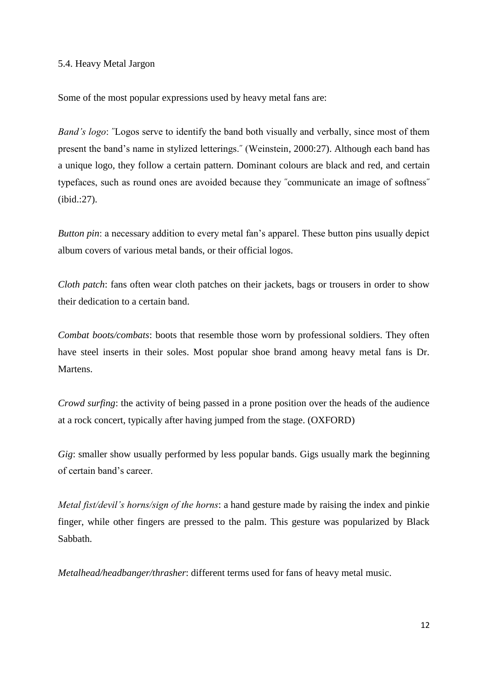#### 5.4. Heavy Metal Jargon

Some of the most popular expressions used by heavy metal fans are:

*Band's logo*: "Logos serve to identify the band both visually and verbally, since most of them present the band's name in stylized letterings.˝ (Weinstein, 2000:27). Although each band has a unique logo, they follow a certain pattern. Dominant colours are black and red, and certain typefaces, such as round ones are avoided because they ˝communicate an image of softness˝ (ibid.:27).

*Button pin*: a necessary addition to every metal fan's apparel. These button pins usually depict album covers of various metal bands, or their official logos.

*Cloth patch*: fans often wear cloth patches on their jackets, bags or trousers in order to show their dedication to a certain band.

*Combat boots/combats*: boots that resemble those worn by professional soldiers. They often have steel inserts in their soles. Most popular shoe brand among heavy metal fans is Dr. Martens.

*Crowd surfing*: the activity of being passed in a prone position over the heads of the audience at a rock concert, typically after having jumped from the stage. (OXFORD)

*Gig*: smaller show usually performed by less popular bands. Gigs usually mark the beginning of certain band's career.

*Metal fist/devil's horns/sign of the horns*: a hand gesture made by raising the index and pinkie finger, while other fingers are pressed to the palm. This gesture was popularized by Black Sabbath.

*Metalhead/headbanger/thrasher*: different terms used for fans of heavy metal music.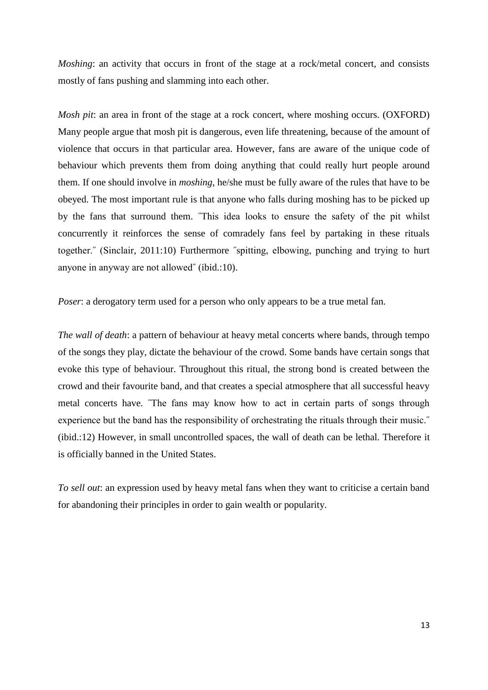*Moshing*: an activity that occurs in front of the stage at a rock/metal concert, and consists mostly of fans pushing and slamming into each other.

*Mosh pit*: an area in front of the stage at a rock concert, where moshing occurs. (OXFORD) Many people argue that mosh pit is dangerous, even life threatening, because of the amount of violence that occurs in that particular area. However, fans are aware of the unique code of behaviour which prevents them from doing anything that could really hurt people around them. If one should involve in *moshing*, he/she must be fully aware of the rules that have to be obeyed. The most important rule is that anyone who falls during moshing has to be picked up by the fans that surround them. ˝This idea looks to ensure the safety of the pit whilst concurrently it reinforces the sense of comradely fans feel by partaking in these rituals together.˝ (Sinclair, 2011:10) Furthermore ˝spitting, elbowing, punching and trying to hurt anyone in anyway are not allowed˝ (ibid.:10).

*Poser*: a derogatory term used for a person who only appears to be a true metal fan.

*The wall of death*: a pattern of behaviour at heavy metal concerts where bands, through tempo of the songs they play, dictate the behaviour of the crowd. Some bands have certain songs that evoke this type of behaviour. Throughout this ritual, the strong bond is created between the crowd and their favourite band, and that creates a special atmosphere that all successful heavy metal concerts have. ˝The fans may know how to act in certain parts of songs through experience but the band has the responsibility of orchestrating the rituals through their music.˝ (ibid.:12) However, in small uncontrolled spaces, the wall of death can be lethal. Therefore it is officially banned in the United States.

*To sell out*: an expression used by heavy metal fans when they want to criticise a certain band for abandoning their principles in order to gain wealth or popularity.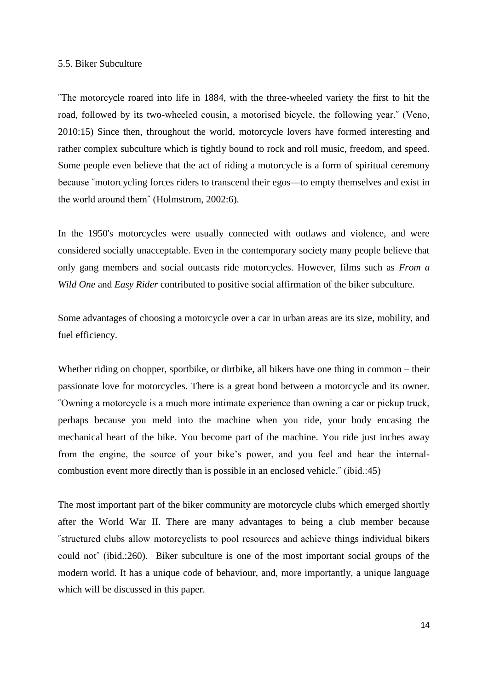#### 5.5. Biker Subculture

˝The motorcycle roared into life in 1884, with the three-wheeled variety the first to hit the road, followed by its two-wheeled cousin, a motorised bicycle, the following year.˝ (Veno, 2010:15) Since then, throughout the world, motorcycle lovers have formed interesting and rather complex subculture which is tightly bound to rock and roll music, freedom, and speed. Some people even believe that the act of riding a motorcycle is a form of spiritual ceremony because ˝motorcycling forces riders to transcend their egos—to empty themselves and exist in the world around them˝ (Holmstrom, 2002:6).

In the 1950's motorcycles were usually connected with outlaws and violence, and were considered socially unacceptable. Even in the contemporary society many people believe that only gang members and social outcasts ride motorcycles. However, films such as *From a Wild One* and *Easy Rider* contributed to positive social affirmation of the biker subculture.

Some advantages of choosing a motorcycle over a car in urban areas are its size, mobility, and fuel efficiency.

Whether riding on chopper, sportbike, or dirtbike, all bikers have one thing in common – their passionate love for motorcycles. There is a great bond between a motorcycle and its owner. ˝Owning a motorcycle is a much more intimate experience than owning a car or pickup truck, perhaps because you meld into the machine when you ride, your body encasing the mechanical heart of the bike. You become part of the machine. You ride just inches away from the engine, the source of your bike's power, and you feel and hear the internalcombustion event more directly than is possible in an enclosed vehicle.˝ (ibid.:45)

The most important part of the biker community are motorcycle clubs which emerged shortly after the World War II. There are many advantages to being a club member because ˝structured clubs allow motorcyclists to pool resources and achieve things individual bikers could not˝ (ibid.:260). Biker subculture is one of the most important social groups of the modern world. It has a unique code of behaviour, and, more importantly, a unique language which will be discussed in this paper.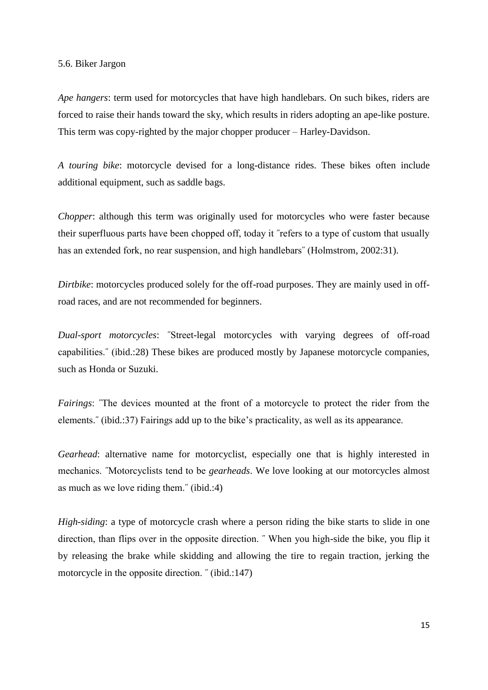#### 5.6. Biker Jargon

*Ape hangers*: term used for motorcycles that have high handlebars. On such bikes, riders are forced to raise their hands toward the sky, which results in riders adopting an ape-like posture. This term was copy-righted by the major chopper producer – Harley-Davidson.

*A touring bike*: motorcycle devised for a long-distance rides. These bikes often include additional equipment, such as saddle bags.

*Chopper*: although this term was originally used for motorcycles who were faster because their superfluous parts have been chopped off, today it ˝refers to a type of custom that usually has an extended fork, no rear suspension, and high handlebars" (Holmstrom, 2002:31).

*Dirtbike*: motorcycles produced solely for the off-road purposes. They are mainly used in offroad races, and are not recommended for beginners.

*Dual-sport motorcycles*: ˝Street-legal motorcycles with varying degrees of off-road capabilities.˝ (ibid.:28) These bikes are produced mostly by Japanese motorcycle companies, such as Honda or Suzuki.

*Fairings*: "The devices mounted at the front of a motorcycle to protect the rider from the elements.˝ (ibid.:37) Fairings add up to the bike's practicality, as well as its appearance.

*Gearhead*: alternative name for motorcyclist, especially one that is highly interested in mechanics. ˝Motorcyclists tend to be *gearheads*. We love looking at our motorcycles almost as much as we love riding them.˝ (ibid.:4)

*High-siding*: a type of motorcycle crash where a person riding the bike starts to slide in one direction, than flips over in the opposite direction. ˝ When you high-side the bike, you flip it by releasing the brake while skidding and allowing the tire to regain traction, jerking the motorcycle in the opposite direction.  $\degree$  (ibid.:147)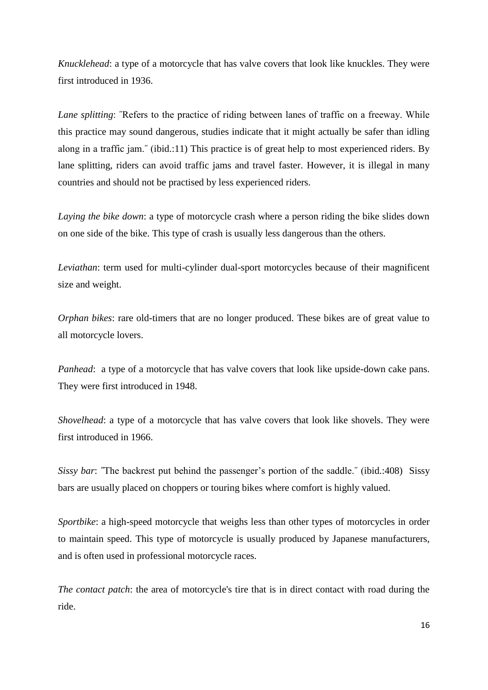*Knucklehead*: a type of a motorcycle that has valve covers that look like knuckles. They were first introduced in 1936.

*Lane splitting*: ˝Refers to the practice of riding between lanes of traffic on a freeway. While this practice may sound dangerous, studies indicate that it might actually be safer than idling along in a traffic jam." (ibid.:11) This practice is of great help to most experienced riders. By lane splitting, riders can avoid traffic jams and travel faster. However, it is illegal in many countries and should not be practised by less experienced riders.

*Laying the bike down*: a type of motorcycle crash where a person riding the bike slides down on one side of the bike. This type of crash is usually less dangerous than the others.

*Leviathan*: term used for multi-cylinder dual-sport motorcycles because of their magnificent size and weight.

*Orphan bikes*: rare old-timers that are no longer produced. These bikes are of great value to all motorcycle lovers.

*Panhead*: a type of a motorcycle that has valve covers that look like upside-down cake pans. They were first introduced in 1948.

*Shovelhead*: a type of a motorcycle that has valve covers that look like shovels. They were first introduced in 1966.

*Sissy bar*: **˝**The backrest put behind the passenger's portion of the saddle.˝ (ibid.:408) Sissy bars are usually placed on choppers or touring bikes where comfort is highly valued.

*Sportbike*: a high-speed motorcycle that weighs less than other types of motorcycles in order to maintain speed. This type of motorcycle is usually produced by Japanese manufacturers, and is often used in professional motorcycle races.

*The contact patch*: the area of motorcycle's tire that is in direct contact with road during the ride.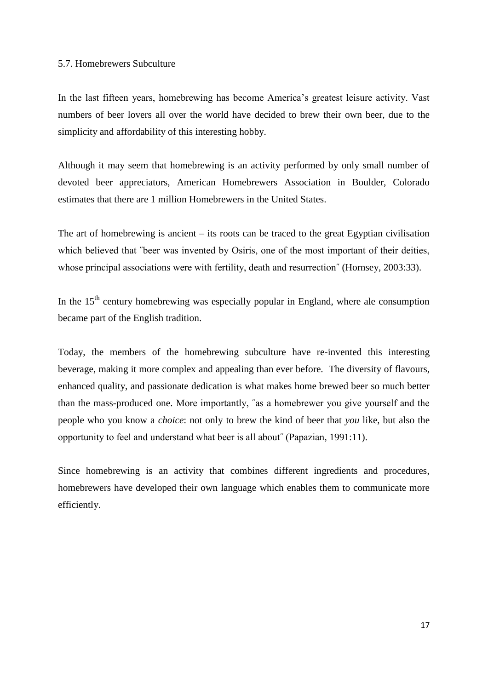#### 5.7. Homebrewers Subculture

In the last fifteen years, homebrewing has become America's greatest leisure activity. Vast numbers of beer lovers all over the world have decided to brew their own beer, due to the simplicity and affordability of this interesting hobby.

Although it may seem that homebrewing is an activity performed by only small number of devoted beer appreciators, American Homebrewers Association in Boulder, Colorado estimates that there are 1 million Homebrewers in the United States.

The art of homebrewing is ancient – its roots can be traced to the great Egyptian civilisation which believed that *"beer was invented by Osiris*, one of the most important of their deities, whose principal associations were with fertility, death and resurrection<sup>"</sup> (Hornsey, 2003:33).

In the  $15<sup>th</sup>$  century homebrewing was especially popular in England, where ale consumption became part of the English tradition.

Today, the members of the homebrewing subculture have re-invented this interesting beverage, making it more complex and appealing than ever before. The diversity of flavours, enhanced quality, and passionate dedication is what makes home brewed beer so much better than the mass-produced one. More importantly, ˝as a homebrewer you give yourself and the people who you know a *choice*: not only to brew the kind of beer that *you* like, but also the opportunity to feel and understand what beer is all about˝ (Papazian, 1991:11).

Since homebrewing is an activity that combines different ingredients and procedures, homebrewers have developed their own language which enables them to communicate more efficiently.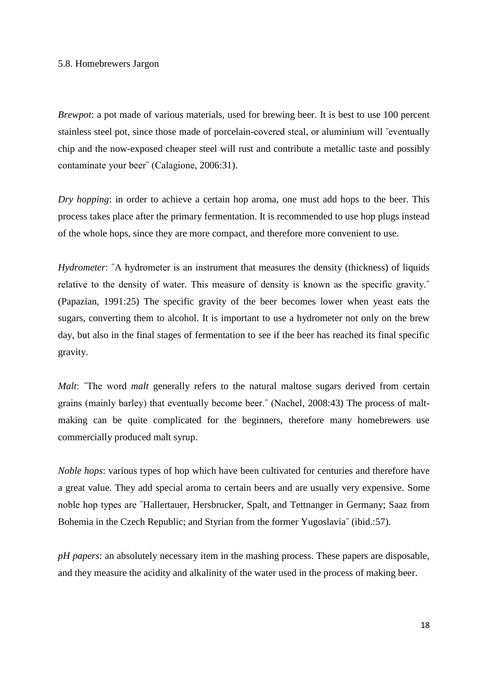#### 5.8. Homebrewers Jargon

*Brewpot*: a pot made of various materials, used for brewing beer. It is best to use 100 percent stainless steel pot, since those made of porcelain-covered steal, or aluminium will ˝eventually chip and the now-exposed cheaper steel will rust and contribute a metallic taste and possibly contaminate your beer˝ (Calagione, 2006:31).

*Dry hopping*: in order to achieve a certain hop aroma, one must add hops to the beer. This process takes place after the primary fermentation. It is recommended to use hop plugs instead of the whole hops, since they are more compact, and therefore more convenient to use.

*Hydrometer*: "A hydrometer is an instrument that measures the density (thickness) of liquids relative to the density of water. This measure of density is known as the specific gravity.˝ (Papazian, 1991:25) The specific gravity of the beer becomes lower when yeast eats the sugars, converting them to alcohol. It is important to use a hydrometer not only on the brew day, but also in the final stages of fermentation to see if the beer has reached its final specific gravity.

*Malt*: "The word *malt* generally refers to the natural maltose sugars derived from certain grains (mainly barley) that eventually become beer.˝ (Nachel, 2008:43) The process of maltmaking can be quite complicated for the beginners, therefore many homebrewers use commercially produced malt syrup.

*Noble hops*: various types of hop which have been cultivated for centuries and therefore have a great value. They add special aroma to certain beers and are usually very expensive. Some noble hop types are ˝Hallertauer, Hersbrucker, Spalt, and Tettnanger in Germany; Saaz from Bohemia in the Czech Republic; and Styrian from the former Yugoslavia˝ (ibid.:57).

*pH papers*: an absolutely necessary item in the mashing process. These papers are disposable, and they measure the acidity and alkalinity of the water used in the process of making beer.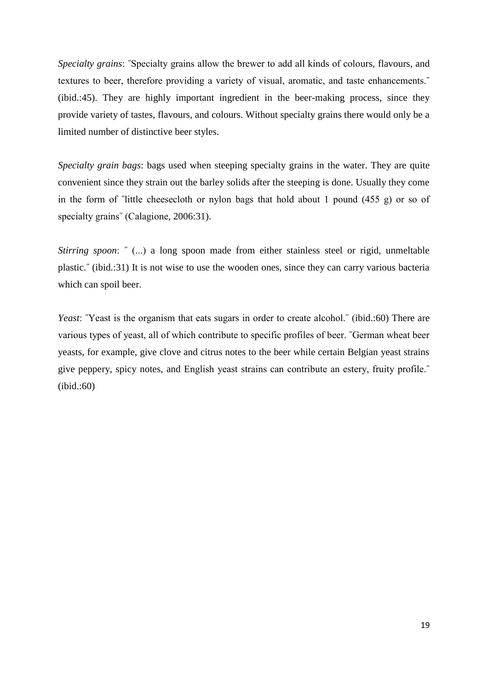*Specialty grains*: ˝Specialty grains allow the brewer to add all kinds of colours, flavours, and textures to beer, therefore providing a variety of visual, aromatic, and taste enhancements.˝ (ibid.:45). They are highly important ingredient in the beer-making process, since they provide variety of tastes, flavours, and colours. Without specialty grains there would only be a limited number of distinctive beer styles.

*Specialty grain bags*: bags used when steeping specialty grains in the water. They are quite convenient since they strain out the barley solids after the steeping is done. Usually they come in the form of ˝little cheesecloth or nylon bags that hold about 1 pound (455 g) or so of specialty grains" (Calagione, 2006:31).

*Stirring spoon*: " (...) a long spoon made from either stainless steel or rigid, unmeltable plastic.˝ (ibid.:31) It is not wise to use the wooden ones, since they can carry various bacteria which can spoil beer.

*Yeast*: "Yeast is the organism that eats sugars in order to create alcohol." (ibid.:60) There are various types of yeast, all of which contribute to specific profiles of beer. ˝German wheat beer yeasts, for example, give clove and citrus notes to the beer while certain Belgian yeast strains give peppery, spicy notes, and English yeast strains can contribute an estery, fruity profile.˝ (ibid.:60)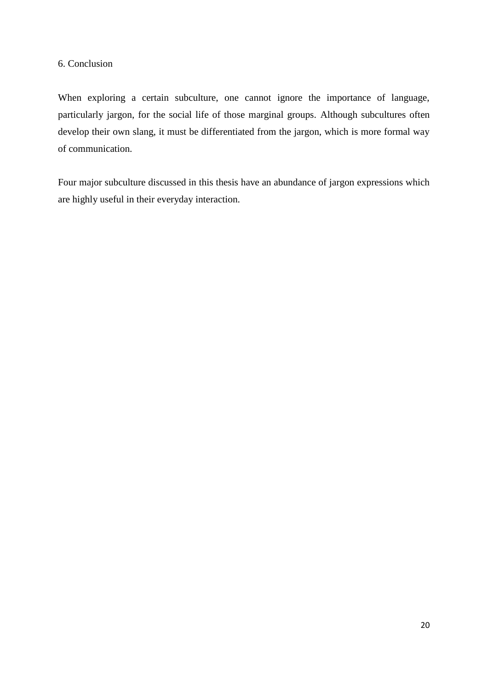#### 6. Conclusion

When exploring a certain subculture, one cannot ignore the importance of language, particularly jargon, for the social life of those marginal groups. Although subcultures often develop their own slang, it must be differentiated from the jargon, which is more formal way of communication.

Four major subculture discussed in this thesis have an abundance of jargon expressions which are highly useful in their everyday interaction.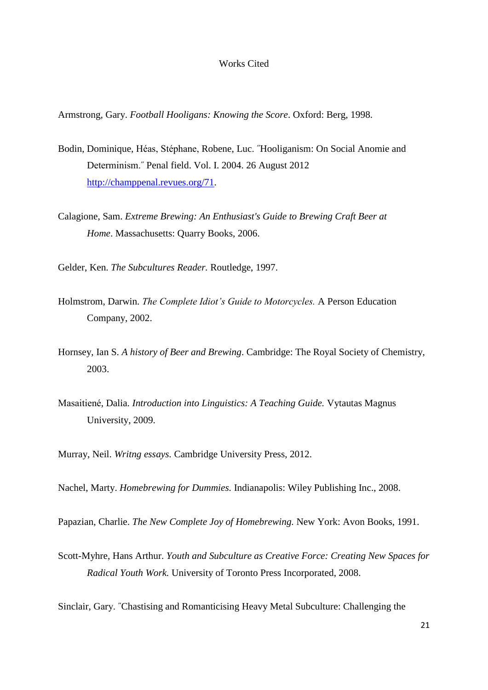#### Works Cited

Armstrong, Gary. *Football Hooligans: Knowing the Score*. Oxford: Berg, 1998.

- Bodin, Dominique, Héas, Stéphane, Robene, Luc. ˝Hooliganism: On Social Anomie and Determinism.˝ Penal field. Vol. I. 2004. 26 August 2012 [http://champpenal.revues.org/71.](http://champpenal.revues.org/71)
- Calagione, Sam. *Extreme Brewing: An Enthusiast's Guide to Brewing Craft Beer at Home*. Massachusetts: Quarry Books, 2006.

Gelder, Ken. *The Subcultures Reader.* Routledge, 1997.

- Holmstrom, Darwin. *The Complete Idiot's Guide to Motorcycles.* A Person Education Company, 2002.
- Hornsey, Ian S. *A history of Beer and Brewing*. Cambridge: The Royal Society of Chemistry, 2003.
- Masaitiené, Dalia. *Introduction into Linguistics: A Teaching Guide.* Vytautas Magnus University, 2009.
- Murray, Neil. *Writng essays.* Cambridge University Press, 2012.

Nachel, Marty. *Homebrewing for Dummies.* Indianapolis: Wiley Publishing Inc., 2008.

Papazian, Charlie. *The New Complete Joy of Homebrewing.* New York: Avon Books, 1991.

Scott-Myhre, Hans Arthur. *Youth and Subculture as Creative Force: Creating New Spaces for Radical Youth Work.* University of Toronto Press Incorporated, 2008.

Sinclair, Gary. ˝Chastising and Romanticising Heavy Metal Subculture: Challenging the